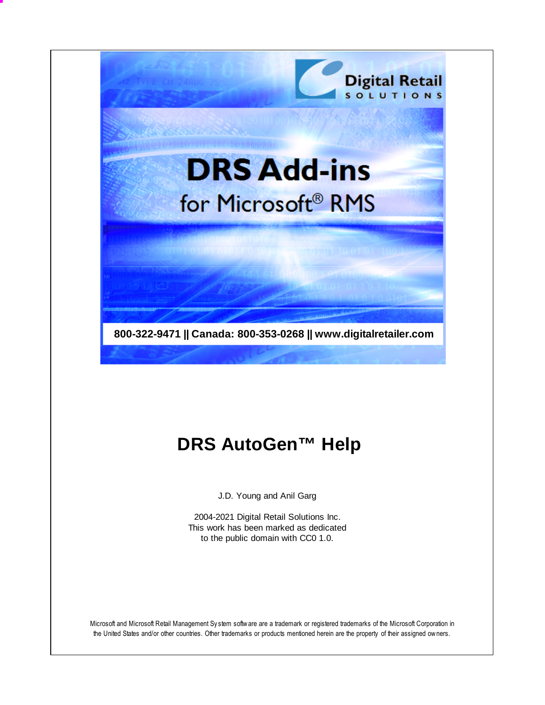

# **DRS AutoGen™ Help**

J.D. Young and Anil Garg

2004-2021 Digital Retail Solutions Inc. This work has been marked as dedicated to the public domain with CC0 1.0.

Microsoft and Microsoft Retail Management Sy stem software are a trademark or registered trademarks of the Microsoft Corporation in the United States and/or other countries. Other trademarks or products mentioned herein are the property of their assigned owners.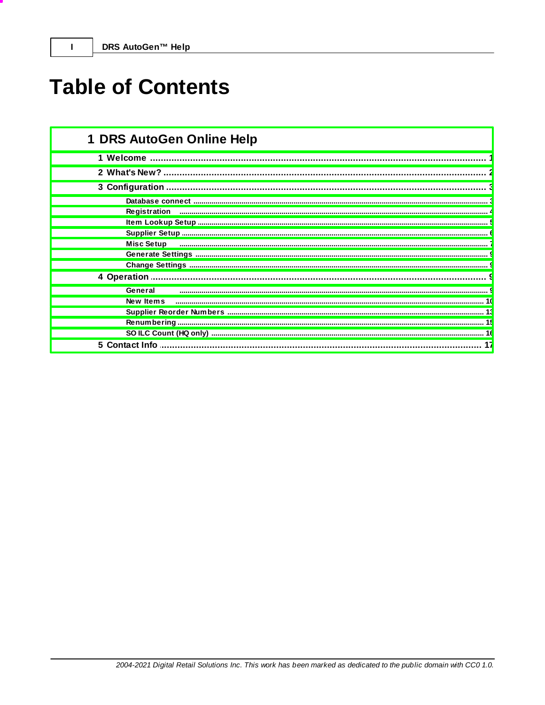# **Table of Contents**

| 1 DRS AutoGen Online Help |
|---------------------------|
|                           |
|                           |
|                           |
|                           |
| Registration              |
|                           |
|                           |
| <b>Misc Setup</b>         |
|                           |
|                           |
| 4 Operation               |
| General                   |
| New Items                 |
|                           |
|                           |
|                           |
| 17                        |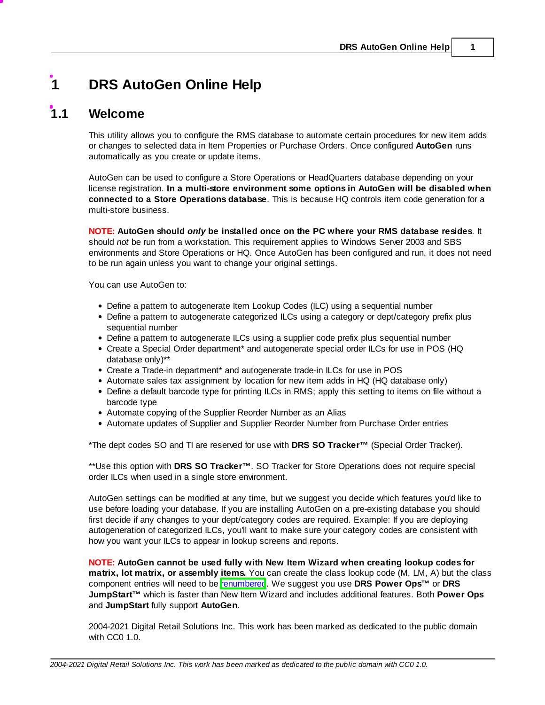## <span id="page-2-0"></span>**1 DRS AutoGen Online Help**

## **1.1 Welcome**

This utility allows you to configure the RMS database to automate certain procedures for new item adds or changes to selected data in Item Properties or Purchase Orders. Once configured **AutoGen** runs automatically as you create or update items.

AutoGen can be used to configure a Store Operations or HeadQuarters database depending on your license registration. **In a multi-store environment some options in AutoGen will be disabled when connected to a Store Operations database**. This is because HQ controls item code generation for a multi-store business.

**NOTE: AutoGen should** *only* **be installed once on the PC where your RMS database resides**. It should *not* be run from a workstation. This requirement applies to Windows Server 2003 and SBS environments and Store Operations or HQ. Once AutoGen has been configured and run, it does not need to be run again unless you want to change your original settings.

You can use AutoGen to:

- Define a pattern to autogenerate Item Lookup Codes (ILC) using a sequential number
- Define a pattern to autogenerate categorized ILCs using a category or dept/category prefix plus sequential number
- Define a pattern to autogenerate ILCs using a supplier code prefix plus sequential number
- Create a Special Order department\* and autogenerate special order ILCs for use in POS (HQ database only)\*\*
- Create a Trade-in department\* and autogenerate trade-in ILCs for use in POS
- Automate sales tax assignment by location for new item adds in HQ (HQ database only)
- Define a default barcode type for printing ILCs in RMS; apply this setting to items on file without a barcode type
- Automate copying of the Supplier Reorder Number as an Alias
- Automate updates of Supplier and Supplier Reorder Number from Purchase Order entries

\*The dept codes SO and TI are reserved for use with **DRS SO Tracker™** (Special Order Tracker).

\*\*Use this option with **DRS SO Tracker™**. SO Tracker for Store Operations does not require special order ILCs when used in a single store environment.

AutoGen settings can be modified at any time, but we suggest you decide which features you'd like to use before loading your database. If you are installing AutoGen on a pre-existing database you should first decide if any changes to your dept/category codes are required. Example: If you are deploying autogeneration of categorized ILCs, you'll want to make sure your category codes are consistent with how you want your ILCs to appear in lookup screens and reports.

**NOTE: AutoGen cannot be used fully with New Item Wizard when creating lookup codes for matrix, lot matrix, or assembly items.** You can create the class lookup code (M, LM, A) but the class component entries will need to be [renumbered](#page-16-0). We suggest you use **DRS Power Ops™** or **DRS JumpStart™** which is faster than New Item Wizard and includes additional features. Both **Power Ops** and **JumpStart** fully support **AutoGen**.

2004-2021 Digital Retail Solutions Inc. This work has been marked as dedicated to the public domain with CC0 1.0.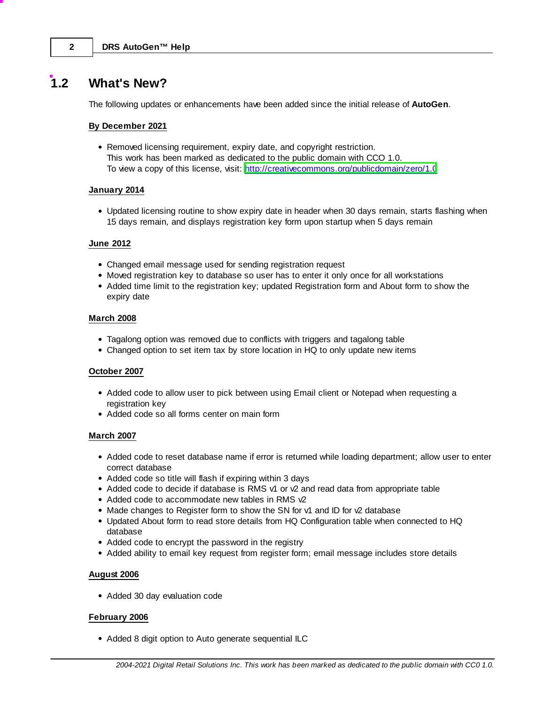## <span id="page-3-0"></span>**1.2 What's New?**

The following updates or enhancements have been added since the initial release of **AutoGen**.

#### **By December 2021**

Removed licensing requirement, expiry date, and copyright restriction. This work has been marked as dedicated to the public domain with CCO 1.0. To view a copy of this license, visit: <http://creativecommons.org/publicdomain/zero/1.0>

#### **January 2014**

Updated licensing routine to show expiry date in header when 30 days remain, starts flashing when 15 days remain, and displays registration key form upon startup when 5 days remain

#### **June 2012**

- Changed email message used for sending registration request
- Moved registration key to database so user has to enter it only once for all workstations
- Added time limit to the registration key; updated Registration form and About form to show the expiry date

#### **March 2008**

- Tagalong option was removed due to conflicts with triggers and tagalong table
- Changed option to set item tax by store location in HQ to only update new items

#### **October 2007**

- Added code to allow user to pick between using Email client or Notepad when requesting a registration key
- Added code so all forms center on main form

#### **March 2007**

- Added code to reset database name if error is returned while loading department; allow user to enter correct database
- Added code so title will flash if expiring within 3 days
- $\bullet$  Added code to decide if database is RMS v1 or  $\sqrt{2}$  and read data from appropriate table
- Added code to accommodate new tables in RMS  $\sqrt{2}$
- Made changes to Register form to show the SN for v1 and ID for v2 database
- Updated About form to read store details from HQ Configuration table when connected to HQ database
- Added code to encrypt the password in the registry
- Added ability to email key request from register form; email message includes store details

#### **August 2006**

Added 30 day evaluation code

#### **February 2006**

• Added 8 digit option to Auto generate sequential ILC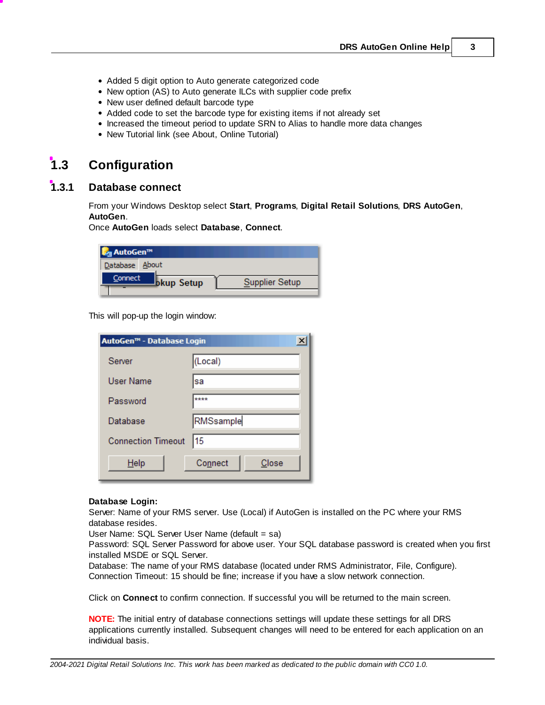- Added 5 digit option to Auto generate categorized code
- New option (AS) to Auto generate ILCs with supplier code prefix
- New user defined default barcode type
- Added code to set the barcode type for existing items if not already set
- Increased the timeout period to update SRN to Alias to handle more data changes
- New Tutorial link (see About, Online Tutorial)

## <span id="page-4-0"></span>**1.3 Configuration**

## **1.3.1 Database connect**

From your Windows Desktop select **Start**, **Programs**, **Digital Retail Solutions**, **DRS AutoGen**, **AutoGen**.

Once **AutoGen** loads select **Database**, **Connect**.

| L <sub>ag</sub> AutoGen™           |                |
|------------------------------------|----------------|
| Database About                     |                |
| Connect<br><sup>I</sup> bkup Setup | Supplier Setup |

This will pop-up the login window:

| $\boldsymbol{\mathsf{x}}$<br>AutoGen™ - Database Login |                  |  |
|--------------------------------------------------------|------------------|--|
| Server                                                 | (Local)          |  |
| User Name                                              | sa               |  |
| Password                                               | ****             |  |
| Database                                               | RMSsample        |  |
| <b>Connection Timeout</b>                              | 15               |  |
| Help                                                   | Connect<br>Close |  |

#### **Database Login:**

Server: Name of your RMS server. Use (Local) if AutoGen is installed on the PC where your RMS database resides.

User Name: SQL Server User Name (default = sa)

Password: SQL Server Password for above user. Your SQL database password is created when you first installed MSDE or SQL Server.

Database: The name of your RMS database (located under RMS Administrator, File, Configure). Connection Timeout: 15 should be fine; increase if you have a slow network connection.

Click on **Connect** to confirm connection. If successful you will be returned to the main screen.

**NOTE:** The initial entry of database connections settings will update these settings for all DRS applications currently installed. Subsequent changes will need to be entered for each application on an individual basis.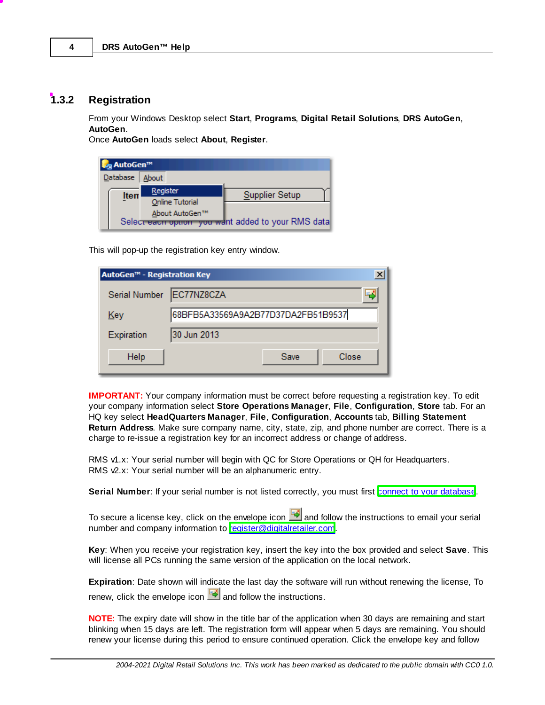## <span id="page-5-0"></span>**1.3.2 Registration**

From your Windows Desktop select **Start**, **Programs**, **Digital Retail Solutions**, **DRS AutoGen**, **AutoGen**.

Once **AutoGen** loads select **About**, **Register**.

| L <sub>ag</sub> AutoGen™ |                 |                                                    |
|--------------------------|-----------------|----------------------------------------------------|
| Database                 | About           |                                                    |
| <b>Item</b>              | Register        | <b>Supplier Setup</b>                              |
|                          | Online Tutorial |                                                    |
|                          | About AutoGen™  |                                                    |
|                          |                 | Select each option you want added to your RMS data |

This will pop-up the registration key entry window.

| AutoGen™ - Registration Key |                                    |      | $\boldsymbol{\mathsf{x}}$ |
|-----------------------------|------------------------------------|------|---------------------------|
| Serial Number               | EC77NZ8CZA                         |      | دِّ                       |
| Key                         | 68BFB5A33569A9A2B77D37DA2FB51B9537 |      |                           |
| Expiration                  | 30 Jun 2013                        |      |                           |
| Help                        |                                    | Save | Close                     |

**IMPORTANT:** Your company information must be correct before requesting a registration key. To edit your company information select **Store Operations Manager**, **File**, **Configuration**, **Store** tab. For an HQ key select **HeadQuarters Manager**, **File**, **Configuration**, **Accounts** tab, **Billing Statement Return Address**. Make sure company name, city, state, zip, and phone number are correct. There is a charge to re-issue a registration key for an incorrect address or change of address.

RMS v1.x: Your serial number will begin with QC for Store Operations or QH for Headquarters. RMS  $\sqrt{2}$ .x: Your serial number will be an alphanumeric entry.

Serial Number: If your serial number is not listed correctly, you must first connect to your [database.](#page-4-0)

To secure a license key, click on the envelope icon  $\Box$  and follow the instructions to email your serial number and company information to [register@digitalretailer.com.](mailto:register@digitalretailer.com)

**Key**: When you receive your registration key, insert the key into the box provided and select **Save**. This will license all PCs running the same version of the application on the local network.

**Expiration**: Date shown will indicate the last day the software will run without renewing the license, To renew, click the envelope icon  $\Box$  and follow the instructions.

**NOTE:** The expiry date will show in the title bar of the application when 30 days are remaining and start blinking when 15 days are left. The registration form will appear when 5 days are remaining. You should renew your license during this period to ensure continued operation. Click the envelope key and follow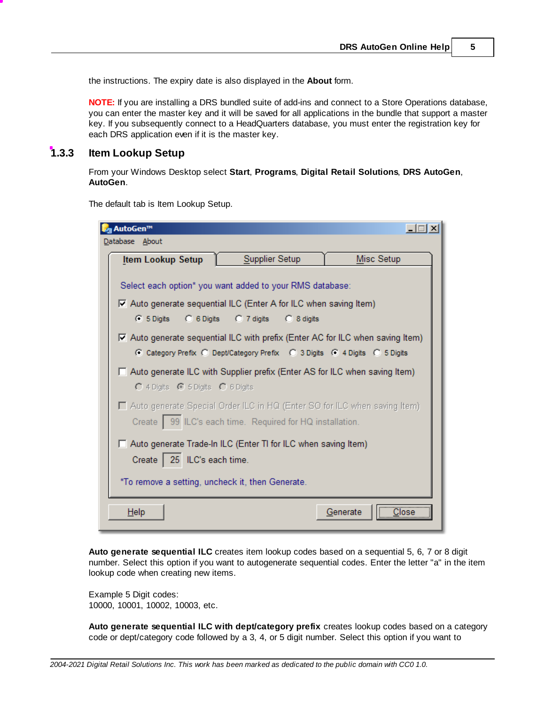the instructions. The expiry date is also displayed in the **About** form.

**NOTE:** If you are installing a DRS bundled suite of add-ins and connect to a Store Operations database, you can enter the master key and it will be saved for all applications in the bundle that support a master key. If you subsequently connect to a HeadQuarters database, you must enter the registration key for each DRS application even if it is the master key.

## <span id="page-6-0"></span>**1.3.3 Item Lookup Setup**

From your Windows Desktop select **Start**, **Programs**, **Digital Retail Solutions**, **DRS AutoGen**, **AutoGen**.

The default tab is Item Lookup Setup.

| M <sub>3</sub> AutoGen <sup>™</sup>                                                                                                                                                                   |                |                     |
|-------------------------------------------------------------------------------------------------------------------------------------------------------------------------------------------------------|----------------|---------------------|
| Database About                                                                                                                                                                                        |                |                     |
| <b>Item Lookup Setup</b>                                                                                                                                                                              | Supplier Setup | Misc Setup          |
| Select each option* you want added to your RMS database:<br>$\overline{\triangledown}$ Auto generate sequential ILC (Enter A for ILC when saving Item)<br>C 5 Digits C 6 Digits C 7 digits C 8 digits |                |                     |
| ○ Auto generate sequential ILC with prefix (Enter AC for ILC when saving Item)<br>C Category Prefix C Dept/Category Prefix C 3 Digits C 4 Digits C 5 Digits                                           |                |                     |
| □ Auto generate ILC with Supplier prefix (Enter AS for ILC when saving Item)<br>C 4 Digits C 5 Digits C 6 Digits                                                                                      |                |                     |
| $\Box$ Auto generate Special Order ILC in HQ (Enter SO for ILC when saving Item)<br>Create   99 ILC's each time. Required for HQ installation.                                                        |                |                     |
| □ Auto generate Trade-In ILC (Enter TI for ILC when saving Item)                                                                                                                                      |                |                     |
| Create   25 ILC's each time.                                                                                                                                                                          |                |                     |
| *To remove a setting, uncheck it, then Generate.                                                                                                                                                      |                |                     |
| Help                                                                                                                                                                                                  |                | <u></u><br>Generate |

**Auto generate sequential ILC** creates item lookup codes based on a sequential 5, 6, 7 or 8 digit number. Select this option if you want to autogenerate sequential codes. Enter the letter "a" in the item lookup code when creating new items.

Example 5 Digit codes: 10000, 10001, 10002, 10003, etc.

**Auto generate sequential ILC with dept/category prefix** creates lookup codes based on a category code or dept/category code followed by a 3, 4, or 5 digit number. Select this option if you want to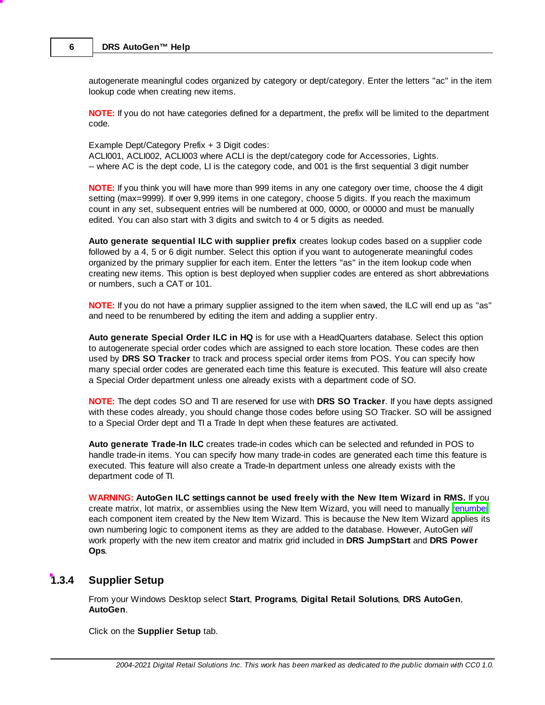autogenerate meaningful codes organized by category or dept/category. Enter the letters "ac" in the item lookup code when creating new items.

**NOTE:** If you do not have categories defined for a department, the prefix will be limited to the department code.

Example Dept/Category Prefix + 3 Digit codes: ACLI001, ACLI002, ACLI003 where ACLI is the dept/category code for Accessories, Lights. -- where AC is the dept code, LI is the category code, and 001 is the first sequential 3 digit number

**NOTE:** If you think you will have more than 999 items in any one category over time, choose the 4 digit setting (max=9999). If over 9,999 items in one category, choose 5 digits. If you reach the maximum count in any set, subsequent entries will be numbered at 000, 0000, or 00000 and must be manually edited. You can also start with 3 digits and switch to 4 or 5 digits as needed.

**Auto generate sequential ILC with supplier prefix** creates lookup codes based on a supplier code followed by a 4, 5 or 6 digit number. Select this option if you want to autogenerate meaningful codes organized by the primary supplier for each item. Enter the letters "as" in the item lookup code when creating new items. This option is best deployed when supplier codes are entered as short abbreviations or numbers, such a CAT or 101.

**NOTE:** If you do not have a primary supplier assigned to the item when saved, the ILC will end up as "as" and need to be renumbered by editing the item and adding a supplier entry.

**Auto generate Special Order ILC in HQ** is for use with a HeadQuarters database. Select this option to autogenerate special order codes which are assigned to each store location. These codes are then used by **DRS SO Tracker** to track and process special order items from POS. You can specify how many special order codes are generated each time this feature is executed. This feature will also create a Special Order department unless one already exists with a department code of SO.

**NOTE:** The dept codes SO and TI are reserved for use with **DRS SO Tracker**. If you have depts assigned with these codes already, you should change those codes before using SO Tracker. SO will be assigned to a Special Order dept and TI a Trade In dept when these features are activated.

**Auto generate Trade-In ILC** creates trade-in codes which can be selected and refunded in POS to handle trade-in items. You can specify how many trade-in codes are generated each time this feature is executed. This feature will also create a Trade-In department unless one already exists with the department code of TI.

**WARNING: AutoGen ILC settings cannot be used freely with the New Item Wizard in RMS.** If you create matrix, lot matrix, or assemblies using the New Item Wizard, you will need to manually [renumber](#page-16-0) each component item created by the New Item Wizard. This is because the New Item Wizard applies its own numbering logic to component items as they are added to the database. However, AutoGen *will* work properly with the new item creator and matrix grid included in **DRS JumpStart** and **DRS Power Ops**.

## <span id="page-7-0"></span>**1.3.4 Supplier Setup**

From your Windows Desktop select **Start**, **Programs**, **Digital Retail Solutions**, **DRS AutoGen**, **AutoGen**.

Click on the **Supplier Setup** tab.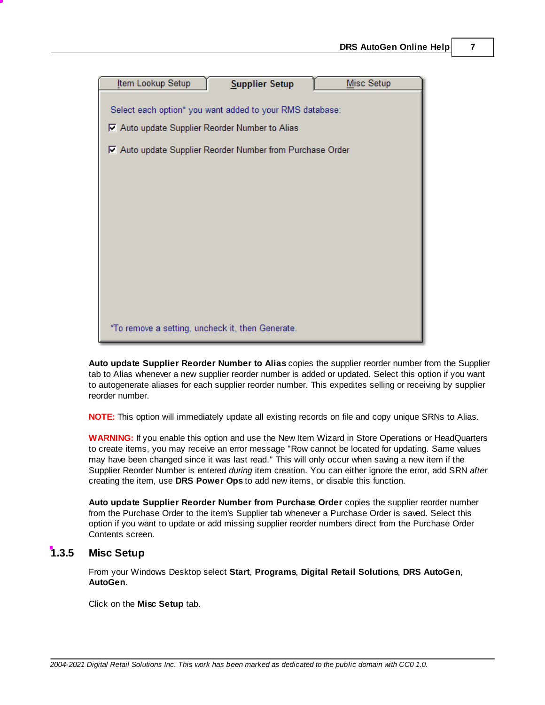

**Auto update Supplier Reorder Number to Alias** copies the supplier reorder number from the Supplier tab to Alias whenever a new supplier reorder number is added or updated. Select this option if you want to autogenerate aliases for each supplier reorder number. This expedites selling or receiving by supplier reorder number.

**NOTE:** This option will immediately update all existing records on file and copy unique SRNs to Alias.

**WARNING:** If you enable this option and use the New Item Wizard in Store Operations or HeadQuarters to create items, you may receive an error message "Row cannot be located for updating. Same values may have been changed since it was last read." This will only occur when saving a new item if the Supplier Reorder Number is entered *during* item creation. You can either ignore the error, add SRN *after* creating the item, use **DRS Power Ops** to add new items, or disable this function.

**Auto update Supplier Reorder Number from Purchase Order** copies the supplier reorder number from the Purchase Order to the item's Supplier tab whenever a Purchase Order is saved. Select this option if you want to update or add missing supplier reorder numbers direct from the Purchase Order Contents screen.

### <span id="page-8-0"></span>**1.3.5 Misc Setup**

From your Windows Desktop select **Start**, **Programs**, **Digital Retail Solutions**, **DRS AutoGen**, **AutoGen**.

Click on the **Misc Setup** tab.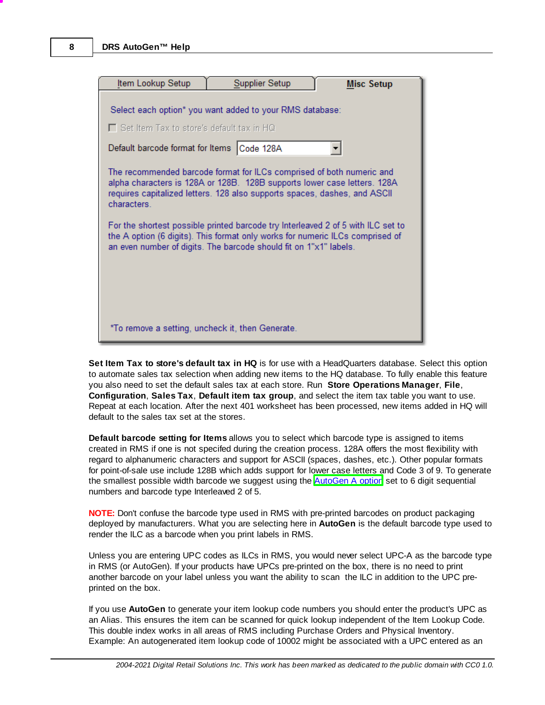| Item Lookup Setup                                                                                                                                                                                                                      | Supplier Setup                                                                                                                                                                                                                 | <b>Misc Setup</b> |
|----------------------------------------------------------------------------------------------------------------------------------------------------------------------------------------------------------------------------------------|--------------------------------------------------------------------------------------------------------------------------------------------------------------------------------------------------------------------------------|-------------------|
| $\Box$ Set Item Tax to store's default tax in HQ<br>Default barcode format for Items Code 128A                                                                                                                                         | Select each option* you want added to your RMS database:                                                                                                                                                                       |                   |
| characters.                                                                                                                                                                                                                            | The recommended barcode format for ILCs comprised of both numeric and<br>alpha characters is 128A or 128B. 128B supports lower case letters. 128A<br>requires capitalized letters. 128 also supports spaces, dashes, and ASCII |                   |
| For the shortest possible printed barcode try Interleaved 2 of 5 with ILC set to<br>the A option (6 digits). This format only works for numeric ILCs comprised of<br>an even number of digits. The barcode should fit on 1"x1" labels. |                                                                                                                                                                                                                                |                   |
|                                                                                                                                                                                                                                        |                                                                                                                                                                                                                                |                   |
| *To remove a setting, uncheck it, then Generate.                                                                                                                                                                                       |                                                                                                                                                                                                                                |                   |

**Set Item Tax to store's default tax in HQ** is for use with a HeadQuarters database. Select this option to automate sales tax selection when adding new items to the HQ database. To fully enable this feature you also need to set the default sales tax at each store. Run **Store Operations Manager**, **File**, **Configuration**, **Sales Tax**, **Default item tax group**, and select the item tax table you want to use. Repeat at each location. After the next 401 worksheet has been processed, new items added in HQ will default to the sales tax set at the stores.

**Default barcode setting for Items** allows you to select which barcode type is assigned to items created in RMS if one is not specifed during the creation process. 128A offers the most flexibility with regard to alphanumeric characters and support for ASCII (spaces, dashes, etc.). Other popular formats for point-of-sale use include 128B which adds support for lower case letters and Code 3 of 9. To generate the smallest possible width barcode we suggest using the **[AutoGen](#page-6-0) A option** set to 6 digit sequential numbers and barcode type Interleaved 2 of 5.

**NOTE:** Don't confuse the barcode type used in RMS with pre-printed barcodes on product packaging deployed by manufacturers. What you are selecting here in **AutoGen** is the default barcode type used to render the ILC as a barcode when you print labels in RMS.

Unless you are entering UPC codes as ILCs in RMS, you would never select UPC-A as the barcode type in RMS (or AutoGen). If your products have UPCs pre-printed on the box, there is no need to print another barcode on your label unless you want the ability to scan the ILC in addition to the UPC preprinted on the box.

If you use **AutoGen** to generate your item lookup code numbers you should enter the product's UPC as an Alias. This ensures the item can be scanned for quick lookup independent of the Item Lookup Code. This double index works in all areas of RMS including Purchase Orders and Physical Inventory. Example: An autogenerated item lookup code of 10002 might be associated with a UPC entered as an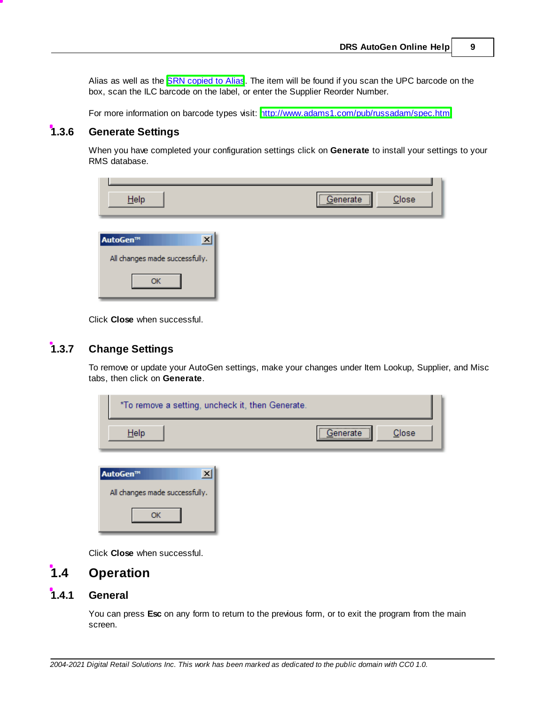Alias as well as the **SRN [copied](#page-7-0) to Alias**. The item will be found if you scan the UPC barcode on the box, scan the ILC barcode on the label, or enter the Supplier Reorder Number.

For more information on barcode types visit: <http://www.adams1.com/pub/russadam/spec.html>

## <span id="page-10-0"></span>**1.3.6 Generate Settings**

When you have completed your configuration settings click on **Generate** to install your settings to your RMS database.

| Help                                             | ,,,,,,,,,,,,,,,,,,,,,,,,,,,,,,,,,,,,,<br>Close<br>Generate |
|--------------------------------------------------|------------------------------------------------------------|
| AutoGen™<br>x <br>All changes made successfully. |                                                            |
| OK                                               |                                                            |

Click **Close** when successful.

## <span id="page-10-1"></span>**1.3.7 Change Settings**

To remove or update your AutoGen settings, make your changes under Item Lookup, Supplier, and Misc tabs, then click on **Generate**.

| *To remove a setting, uncheck it, then Generate. |                      |
|--------------------------------------------------|----------------------|
| Help                                             | <br>Close<br>enerate |
| AutoGen™<br>$\vert x \vert$                      |                      |
| All changes made successfully.<br>ωĸ             |                      |

Click **Close** when successful.

## <span id="page-10-2"></span>**1.4 Operation**

## **1.4.1 General**

You can press **Esc** on any form to return to the previous form, or to exit the program from the main screen.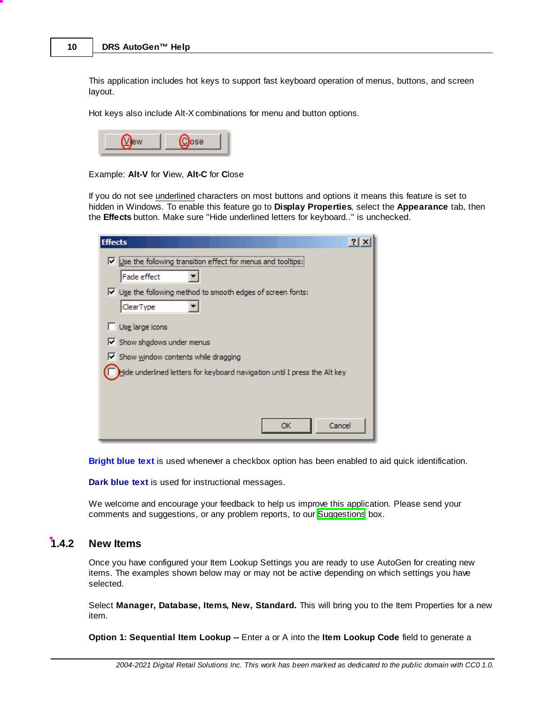This application includes hot keys to support fast keyboard operation of menus, buttons, and screen layout.

Hot keys also include Alt-X combinations for menu and button options.

Example: **Alt-V** for **V**iew, **Alt-C** for **C**lose

If you do not see underlined characters on most buttons and options it means this feature is set to hidden in Windows. To enable this feature go to **Display Properties**, select the **Appearance** tab, then the **Effects** button. Make sure "Hide underlined letters for keyboard.." is unchecked.

| <b>Effects</b>                                                              |
|-----------------------------------------------------------------------------|
| $\triangledown$ Use the following transition effect for menus and tooltips: |
| Fade effect                                                                 |
| $\triangledown$ Use the following method to smooth edges of screen fonts:   |
| ClearType                                                                   |
| Use large icons                                                             |
| Show shadows under menus                                                    |
| $\triangledown$ Show window contents while dragging                         |
| Hide underlined letters for keyboard navigation until I press the Alt key   |
|                                                                             |
|                                                                             |
| Cancel<br>OK                                                                |

**Bright blue text** is used whenever a checkbox option has been enabled to aid quick identification.

**Dark blue text** is used for instructional messages.

We welcome and encourage your feedback to help us improve this application. Please send your comments and suggestions, or any problem reports, to our **Suggestions** box.

#### <span id="page-11-0"></span>**1.4.2 New Items**

Once you have configured your Item Lookup Settings you are ready to use AutoGen for creating new items. The examples shown below may or may not be active depending on which settings you have selected.

Select **Manager, Database, Items, New, Standard.** This will bring you to the Item Properties for a new item.

**Option 1: Sequential Item Lookup --** Enter a or A into the **Item Lookup Code** field to generate a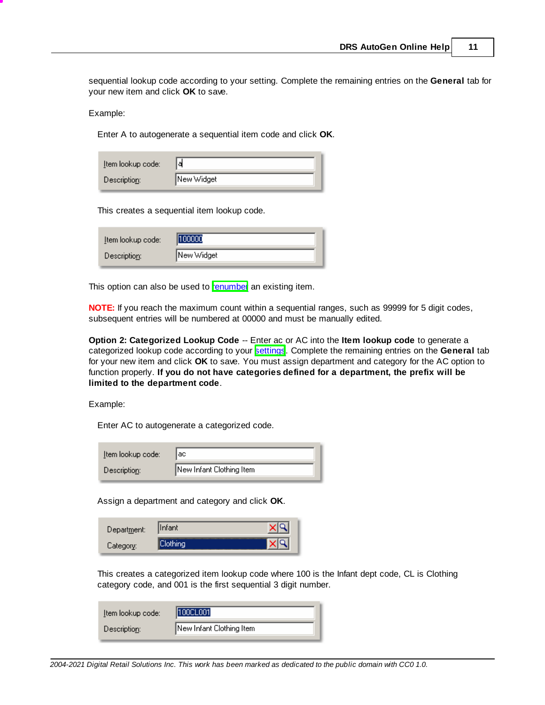sequential lookup code according to your setting. Complete the remaining entries on the **General** tab for your new item and click **OK** to save.

Example:

Enter A to autogenerate a sequential item code and click **OK**.

| Item lookup code: | Iа         |
|-------------------|------------|
| Description:      | New Widget |

This creates a sequential item lookup code.

| Item lookup code: | 1100000    |
|-------------------|------------|
| Description:      | New Widget |

This option can also be used to [renumber](#page-16-0) an existing item.

**NOTE:** If you reach the maximum count within a sequential ranges, such as 99999 for 5 digit codes, subsequent entries will be numbered at 00000 and must be manually edited.

**Option 2: Categorized Lookup Code** -- Enter ac or AC into the **Item lookup code** to generate a categorized lookup code according to your [settings](#page-6-0). Complete the remaining entries on the General tab for your new item and click **OK** to save. You must assign department and category for the AC option to function properly. **If you do not have categories defined for a department, the prefix will be limited to the department code**.

Example:

Enter AC to autogenerate a categorized code.

| Item lookup code: | aс                       |
|-------------------|--------------------------|
| Description:      | New Infant Clothing Item |

Assign a department and category and click **OK**.

| Department: | llnfant |  |
|-------------|---------|--|
| Category:   |         |  |

This creates a categorized item lookup code where 100 is the Infant dept code, CL is Clothing category code, and 001 is the first sequential 3 digit number.

| Item lookup code: | 100CL001                 |
|-------------------|--------------------------|
| Description:      | New Infant Clothing Item |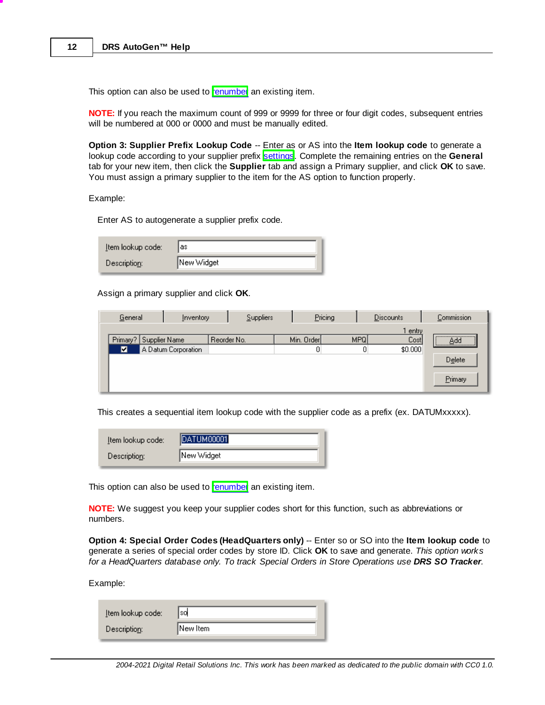This option can also be used to [renumber](#page-16-0) an existing item.

**NOTE:** If you reach the maximum count of 999 or 9999 for three or four digit codes, subsequent entries will be numbered at 000 or 0000 and must be manually edited.

**Option 3: Supplier Prefix Lookup Code** -- Enter as or AS into the **Item lookup code** to generate a lookup code according to your supplier prefix [settings.](#page-6-0) Complete the remaining entries on the General tab for your new item, then click the **Supplier** tab and assign a Primary supplier, and click **OK** to save. You must assign a primary supplier to the item for the AS option to function properly.

Example:

Enter AS to autogenerate a supplier prefix code.

| Item lookup code: | las        |
|-------------------|------------|
| Description:      | New Widget |

Assign a primary supplier and click **OK**.

| General<br>Inventory   |                     |             | Suppliers | Pricing    |            | <b>Discounts</b> | Commission                               |
|------------------------|---------------------|-------------|-----------|------------|------------|------------------|------------------------------------------|
|                        |                     |             |           |            |            | l entry          |                                          |
| Primary? Supplier Name |                     | Reorder No. |           | Min. Order | <b>MPQ</b> | Cost             | ,,,,,,,,,,,,,,,,,,,,,,,,,,,,,,,,,<br>Add |
| ◘                      | A Datum Corporation |             |           |            |            | \$0.000          |                                          |
|                        |                     |             |           |            |            |                  | Delete                                   |
|                        |                     |             |           |            |            |                  |                                          |
|                        |                     |             |           |            |            |                  | Primary                                  |
|                        |                     |             |           |            |            |                  |                                          |

This creates a sequential item lookup code with the supplier code as a prefix (ex. DATUMxxxxx).

| Item lookup code: | <b>DATUM00001</b> |  |  |
|-------------------|-------------------|--|--|
| Description:      | New Widget        |  |  |

This option can also be used to [renumber](#page-16-0) an existing item.

**NOTE:** We suggest you keep your supplier codes short for this function, such as abbreviations or numbers.

**Option 4: Special Order Codes (HeadQuarters only)** -- Enter so or SO into the **Item lookup code** to generate a series of special order codes by store ID. Click **OK** to save and generate. *This option works for a HeadQuarters database only. To track Special Orders in Store Operations use DRS SO Tracker.*

Example:

| Item lookup code: | sd       |
|-------------------|----------|
| Description:      | New Item |
|                   |          |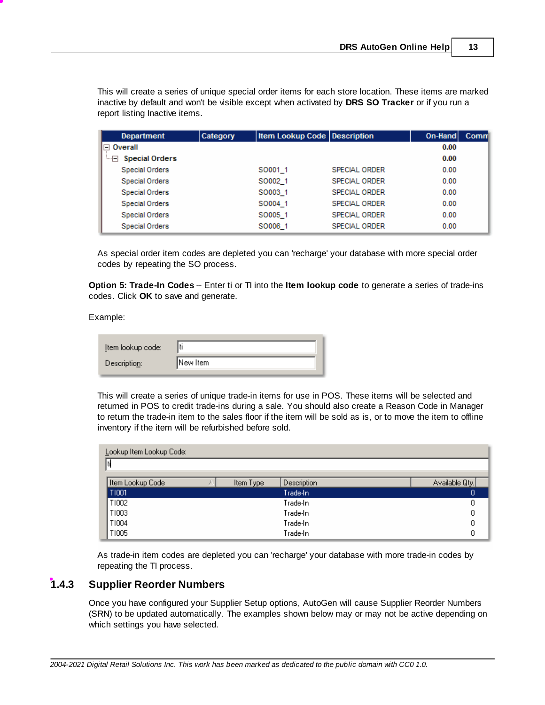This will create a series of unique special order items for each store location. These items are marked inactive by default and won't be visible except when activated by **DRS SO Tracker** or if you run a report listing Inactive items.

| <b>Department</b>             | Category | Item Lookup Code   Description |                      | On-Hand | Comm |
|-------------------------------|----------|--------------------------------|----------------------|---------|------|
| $\boxminus$ Overall           |          |                                |                      | 0.00    |      |
| <b>Special Orders</b><br>$ -$ |          |                                |                      | 0.00    |      |
| <b>Special Orders</b>         |          | SO001 1                        | SPECIAL ORDER        | 0.00    |      |
| <b>Special Orders</b>         |          | SO002 1                        | <b>SPECIAL ORDER</b> | 0.00    |      |
| <b>Special Orders</b>         |          | SO003 1                        | SPECIAL ORDER        | 0.00    |      |
| <b>Special Orders</b>         |          | SO004 1                        | <b>SPECIAL ORDER</b> | 0.00    |      |
| Special Orders                |          | SO005 1                        | <b>SPECIAL ORDER</b> | 0.00    |      |
| Special Orders                |          | SO006 1                        | SPECIAL ORDER        | 0.00    |      |

As special order item codes are depleted you can 'recharge' your database with more special order codes by repeating the SO process.

**Option 5: Trade-In Codes** -- Enter ti or TI into the **Item lookup code** to generate a series of trade-ins codes. Click **OK** to save and generate.

Example:

| New Item<br>Description: |  |
|--------------------------|--|

This will create a series of unique trade-in items for use in POS. These items will be selected and returned in POS to credit trade-ins during a sale. You should also create a Reason Code in Manager to return the trade-in item to the sales floor if the item will be sold as is, or to move the item to offline inventory if the item will be refurbished before sold.

| Lookup Item Lookup Code: |           |             |                |
|--------------------------|-----------|-------------|----------------|
|                          |           |             |                |
| Item Lookup Code         | Item Type | Description | Available Qty. |
| T1001                    |           | Trade-In    | 0              |
| T1002                    |           | Trade-In    | ۵              |
| T1003                    |           | Trade-In    | ۵              |
| T1004                    |           | Trade-In    |                |
| T1005                    |           | Trade-In    |                |

As trade-in item codes are depleted you can 'recharge' your database with more trade-in codes by repeating the TI process.

### <span id="page-14-0"></span>**1.4.3 Supplier Reorder Numbers**

Once you have configured your Supplier Setup options, AutoGen will cause Supplier Reorder Numbers (SRN) to be updated automatically. The examples shown below may or may not be active depending on which settings you have selected.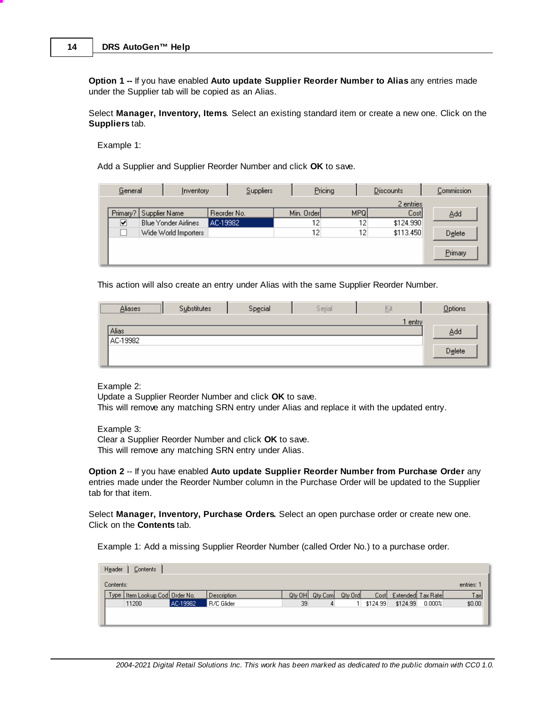**Option 1 --** If you have enabled **Auto update Supplier Reorder Number to Alias** any entries made under the Supplier tab will be copied as an Alias.

Select **Manager, Inventory, Items**. Select an existing standard item or create a new one. Click on the **Suppliers** tab.

Example 1:

Add a Supplier and Supplier Reorder Number and click **OK** to save.

| General  | Inventory                   | Suppliers   |            | Pricing          | <b>Discounts</b> | Commission |
|----------|-----------------------------|-------------|------------|------------------|------------------|------------|
|          |                             |             |            |                  | 2 entries        |            |
| Primary? | Supplier Name               | Reorder No. | Min. Order | MPQ <sup> </sup> | Cost             | Add        |
| ☑        | <b>Blue Yonder Airlines</b> | AC-19982    | 12         | 12               | \$124.990        |            |
|          | Wide World Importers        |             | 12         | 12 <sub>1</sub>  | \$113.450        | Delete     |
|          |                             |             |            |                  |                  |            |
|          |                             |             |            |                  |                  | Primary    |
|          |                             |             |            |                  |                  |            |

This action will also create an entry under Alias with the same Supplier Reorder Number.

| Aliases<br><u> 2000 - 2000 - 2000 - 2000 - 2000 - 2000 - 2000 - 2000 - 2000 - 2000 - 2000 - 2000 - 2000 - 2000 - 2000 - 200</u> | Substitutes | Special | Serial | Kit   | Options |
|---------------------------------------------------------------------------------------------------------------------------------|-------------|---------|--------|-------|---------|
|                                                                                                                                 |             |         |        | entry |         |
| <b>Alias</b>                                                                                                                    |             |         |        |       | Add     |
| AC-19982                                                                                                                        |             |         |        |       |         |
|                                                                                                                                 |             |         |        |       | Delete  |
|                                                                                                                                 |             |         |        |       |         |

Example 2:

Update a Supplier Reorder Number and click **OK** to save.

This will remove any matching SRN entry under Alias and replace it with the updated entry.

Example 3:

Clear a Supplier Reorder Number and click **OK** to save. This will remove any matching SRN entry under Alias.

**Option 2** -- If you have enabled **Auto update Supplier Reorder Number from Purchase Order** any entries made under the Reorder Number column in the Purchase Order will be updated to the Supplier tab for that item.

Select **Manager, Inventory, Purchase Orders.** Select an open purchase order or create new one. Click on the **Contents** tab.

Example 1: Add a missing Supplier Reorder Number (called Order No.) to a purchase order.

| Header<br>Contents                 |          |             |        |         |         |          |                   |        |        |  |  |
|------------------------------------|----------|-------------|--------|---------|---------|----------|-------------------|--------|--------|--|--|
| entries:<br>Contents:              |          |             |        |         |         |          |                   |        |        |  |  |
| Type   Item Lookup Cod   Order No. |          | Description | Qty OH | Qty Com | Qty Ord | Cost     | Extended Tax Rate |        | Tax    |  |  |
| 11200                              | AC-19982 | R/C Glider  | 39     | 4       |         | \$124.99 | \$124.99          | 0.000% | \$0.00 |  |  |
|                                    |          |             |        |         |         |          |                   |        |        |  |  |
|                                    |          |             |        |         |         |          |                   |        |        |  |  |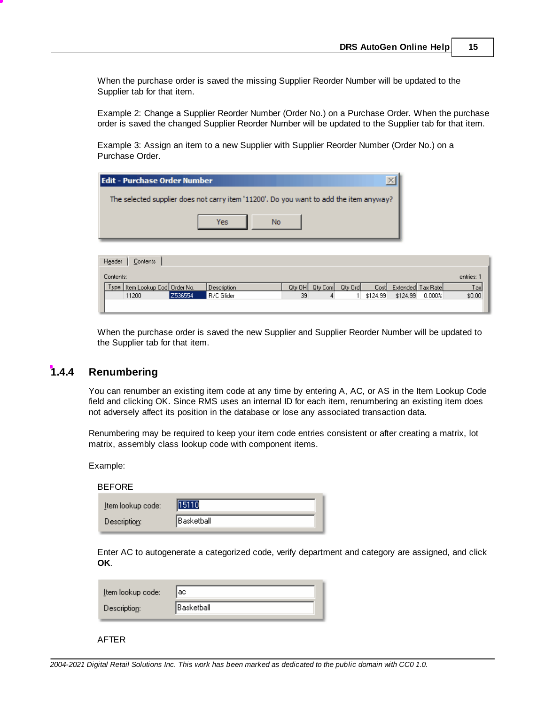When the purchase order is saved the missing Supplier Reorder Number will be updated to the Supplier tab for that item.

Example 2: Change a Supplier Reorder Number (Order No.) on a Purchase Order. When the purchase order is saved the changed Supplier Reorder Number will be updated to the Supplier tab for that item.

Example 3: Assign an item to a new Supplier with Supplier Reorder Number (Order No.) on a Purchase Order.

| l Edit - Purchase Order Number                                                         |  |  |  |  |  |  |  |  |  |  |  |
|----------------------------------------------------------------------------------------|--|--|--|--|--|--|--|--|--|--|--|
| The selected supplier does not carry item '11200'. Do you want to add the item anyway? |  |  |  |  |  |  |  |  |  |  |  |
|                                                                                        |  |  |  |  |  |  |  |  |  |  |  |
| Yes                                                                                    |  |  |  |  |  |  |  |  |  |  |  |

| Header<br>Contents                |         |             |        |         |         |          |          |                   |        |  |  |
|-----------------------------------|---------|-------------|--------|---------|---------|----------|----------|-------------------|--------|--|--|
| Contents:<br>entries:             |         |             |        |         |         |          |          |                   |        |  |  |
| Type   Item Lookup Cod  Order No. |         | Description | Qty OH | Qty Com | Qty Ord | Costl    |          | Extended Tax Rate | Taxl   |  |  |
| 11200                             | Z536554 | R/C Glider  | 39     |         |         | \$124.99 | \$124.99 | 0.000%            | \$0.00 |  |  |
|                                   |         |             |        |         |         |          |          |                   |        |  |  |

When the purchase order is saved the new Supplier and Supplier Reorder Number will be updated to the Supplier tab for that item.

#### <span id="page-16-0"></span>**1.4.4 Renumbering**

You can renumber an existing item code at any time by entering A, AC, or AS in the Item Lookup Code field and clicking OK. Since RMS uses an internal ID for each item, renumbering an existing item does not adversely affect its position in the database or lose any associated transaction data.

Renumbering may be required to keep your item code entries consistent or after creating a matrix, lot matrix, assembly class lookup code with component items.

Example:

 $B = B = B$ 

| BEFORE            |            |
|-------------------|------------|
| Item lookup code: | 15110      |
| Description:      | Basketball |

Enter AC to autogenerate a categorized code, verify department and category are assigned, and click **OK**.

| Item lookup code: | aс           |
|-------------------|--------------|
| Description:      | lBasketball. |

AFTER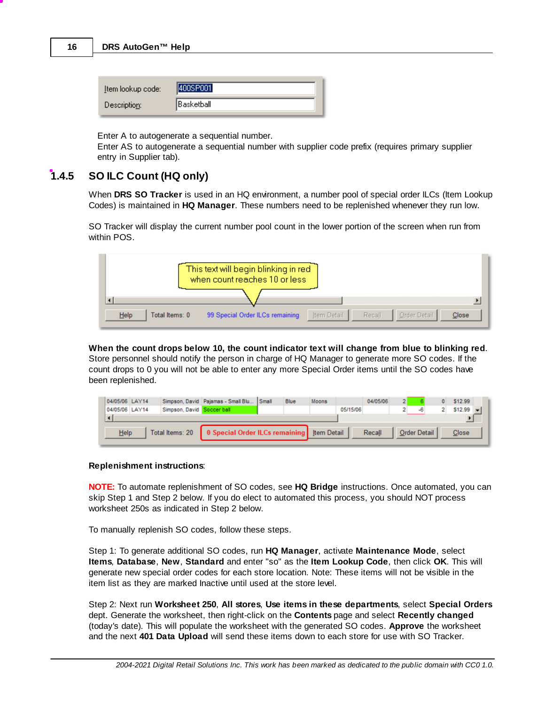#### **16 DRS AutoGen™ Help**

| [tem lookup code:] | 400SP001           |
|--------------------|--------------------|
| Description:       | <b>IBasketball</b> |

Enter A to autogenerate a sequential number.

Enter AS to autogenerate a sequential number with supplier code prefix (requires primary supplier entry in Supplier tab).

### <span id="page-17-0"></span>**1.4.5 SO ILC Count (HQ only)**

When **DRS SO Tracker** is used in an HQ environment, a number pool of special order ILCs (Item Lookup Codes) is maintained in **HQ Manager**. These numbers need to be replenished whenever they run low.

SO Tracker will display the current number pool count in the lower portion of the screen when run from within POS.

|                        | This text will begin blinking in red<br>when count reaches 10 or less |             |        |              |       |
|------------------------|-----------------------------------------------------------------------|-------------|--------|--------------|-------|
| Help<br>Total Items: 0 | 99 Special Order ILCs remaining                                       | Item Detail | Recall | Order Detail | Close |

**When the count drops below 10, the count indicator text will change from blue to blinking red**. Store personnel should notify the person in charge of HQ Manager to generate more SO codes. If the count drops to 0 you will not be able to enter any more Special Order items until the SO codes have been replenished.

| 04/05/06 LAY14<br>04/05/06 LAY14 | Simpson, David Soccer ball                                     | Simpson, David Pajamas - Small Blu Small |  | Blue | Moons | 05/15/06 | 04/05/06 | $\overline{ }$ |                     |  | \$12.99<br>$$12.99$ $\rightarrow$ |  |
|----------------------------------|----------------------------------------------------------------|------------------------------------------|--|------|-------|----------|----------|----------------|---------------------|--|-----------------------------------|--|
|                                  |                                                                |                                          |  |      |       |          |          |                |                     |  |                                   |  |
| Help                             | Total Items: 20   0 Special Order ILCs remaining   Item Detail |                                          |  |      |       |          | Recall   |                | <b>Order Detail</b> |  | <b>Close</b>                      |  |

#### **Replenishment instructions**:

**NOTE:** To automate replenishment of SO codes, see **HQ Bridge** instructions. Once automated, you can skip Step 1 and Step 2 below. If you do elect to automated this process, you should NOT process worksheet 250s as indicated in Step 2 below.

To manually replenish SO codes, follow these steps.

Step 1: To generate additional SO codes, run **HQ Manager**, activate **Maintenance Mode**, select **Items**, **Database**, **New**, **Standard** and enter "so" as the **Item Lookup Code**, then click **OK**. This will generate new special order codes for each store location. Note: These items will not be visible in the item list as they are marked Inactive until used at the store level.

Step 2: Next run **Worksheet 250**, **All stores**, **Use items in these departments**, select **Special Orders** dept. Generate the worksheet, then right-click on the **Contents** page and select **Recently changed** (today's date). This will populate the worksheet with the generated SO codes. **Approve** the worksheet and the next **401 Data Upload** will send these items down to each store for use with SO Tracker.